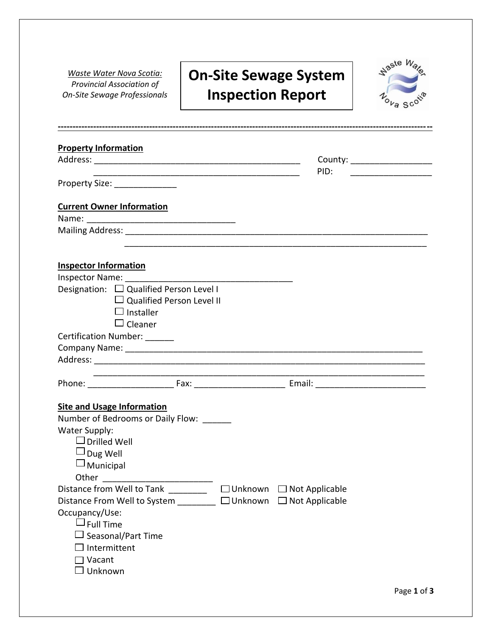*Waste Water Nova Scotia: Provincial Association of On-Site Sewage Professionals*

f

u

o

d

a

pe

## **On-Site Sewage System Inspection Report**

l,



| <b>Property Information</b>                                                                 |                |                       |                               |
|---------------------------------------------------------------------------------------------|----------------|-----------------------|-------------------------------|
|                                                                                             |                |                       | County: _____________________ |
|                                                                                             |                | PID:                  |                               |
|                                                                                             |                |                       |                               |
| <b>Current Owner Information</b>                                                            |                |                       |                               |
|                                                                                             |                |                       |                               |
|                                                                                             |                |                       |                               |
|                                                                                             |                |                       |                               |
| <b>Inspector Information</b>                                                                |                |                       |                               |
| Designation: □ Qualified Person Level I                                                     |                |                       |                               |
| $\Box$ Qualified Person Level II                                                            |                |                       |                               |
| $\Box$ Installer                                                                            |                |                       |                               |
| $\Box$ Cleaner                                                                              |                |                       |                               |
| Certification Number: ______                                                                |                |                       |                               |
|                                                                                             |                |                       |                               |
|                                                                                             |                |                       |                               |
|                                                                                             |                |                       |                               |
|                                                                                             |                |                       |                               |
| <b>Site and Usage Information</b>                                                           |                |                       |                               |
| Number of Bedrooms or Daily Flow: ______                                                    |                |                       |                               |
| Water Supply:                                                                               |                |                       |                               |
| $\Box$ Drilled Well                                                                         |                |                       |                               |
| ⊿ Dug Well                                                                                  |                |                       |                               |
| $\Box$ Municipal                                                                            |                |                       |                               |
|                                                                                             |                |                       |                               |
| Distance from Well to Tank<br>$\frac{1}{2}$ . The contract of $\frac{1}{2}$ , $\frac{1}{2}$ | $\Box$ Unknown | $\Box$ Not Applicable |                               |
| Distance From Well to System _______ □ Unknown                                              |                | $\Box$ Not Applicable |                               |
| Occupancy/Use:                                                                              |                |                       |                               |
| $\sqcup$ Full Time                                                                          |                |                       |                               |
| Seasonal/Part Time<br>Intermittent                                                          |                |                       |                               |
| □ Vacant                                                                                    |                |                       |                               |
| Unknown                                                                                     |                |                       |                               |
|                                                                                             |                |                       |                               |

u

u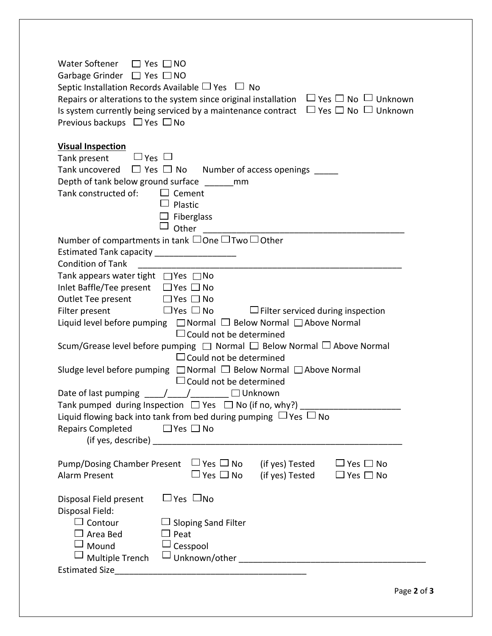| Water Softener □ Yes □ NO<br>Garbage Grinder □ Yes □ NO<br>Septic Installation Records Available $\Box$ Yes $\Box$ No<br>Repairs or alterations to the system since original installation $\Box$ Yes $\Box$ No $\Box$ Unknown<br>$\Box$ Yes $\Box$ No $\Box$ Unknown<br>Is system currently being serviced by a maintenance contract<br>Previous backups $\Box$ Yes $\Box$ No                                                                                                                                                                                                                                                                                                                                                                                                                                                                                                                                                                                                                                        |  |  |  |  |
|----------------------------------------------------------------------------------------------------------------------------------------------------------------------------------------------------------------------------------------------------------------------------------------------------------------------------------------------------------------------------------------------------------------------------------------------------------------------------------------------------------------------------------------------------------------------------------------------------------------------------------------------------------------------------------------------------------------------------------------------------------------------------------------------------------------------------------------------------------------------------------------------------------------------------------------------------------------------------------------------------------------------|--|--|--|--|
| <b>Visual Inspection</b><br>Tank present $\Box$ Yes $\Box$<br>Tank uncovered $\Box$ Yes $\Box$ No Number of access openings $\Box$<br>Depth of tank below ground surface ________ mm<br>Tank constructed of:<br>$\Box$ Cement<br>Plastic<br>$\Box$ Fiberglass<br>Other                                                                                                                                                                                                                                                                                                                                                                                                                                                                                                                                                                                                                                                                                                                                               |  |  |  |  |
| Number of compartments in tank □One □Two □Other<br>Estimated Tank capacity ____________________<br><b>Condition of Tank</b><br>Tank appears water tight $\Box$ Yes $\Box$ No<br>Inlet Baffle/Tee present □ Yes □ No<br>Outlet Tee present $\Box$ Yes $\Box$ No<br>$\Box$ Yes $\Box$ No<br>$\Box$ Filter serviced during inspection<br>Filter present<br>Liquid level before pumping<br>□ Normal □ Below Normal □ Above Normal<br>$\Box$ Could not be determined<br>Scum/Grease level before pumping $\Box$ Normal $\Box$ Below Normal $\Box$ Above Normal<br>$\Box$ Could not be determined<br>Sludge level before pumping □ Normal □ Below Normal □ Above Normal<br>$\Box$ Could not be determined<br>Date of last pumping $\frac{1}{\sqrt{1-\frac{1}{2}}}\sqrt{1-\frac{1}{2}}$ Unknown<br>Tank pumped during Inspection $\Box$ Yes $\Box$ No (if no, why?)<br>Liquid flowing back into tank from bed during pumping $\Box$ Yes $\Box$ No<br><b>Repairs Completed</b><br>$\Box$ Yes $\Box$ No<br>(if yes, describe) |  |  |  |  |
| Pump/Dosing Chamber Present $\Box$ Yes $\Box$ No (if yes) Tested<br>$\Box$ Yes $\Box$ No<br>$\Box$ Yes $\Box$ No (if yes) Tested<br>Alarm Present<br>$\Box$ Yes $\Box$ No                                                                                                                                                                                                                                                                                                                                                                                                                                                                                                                                                                                                                                                                                                                                                                                                                                            |  |  |  |  |
| $\Box$ Yes $\Box$ No<br>Disposal Field present<br>Disposal Field:<br>$\Box$ Contour<br>$\Box$ Sloping Sand Filter<br>$\Box$ Area Bed<br>$\Box$ Peat<br>$\Box$ Mound<br>Cesspool<br>Multiple Trench                                                                                                                                                                                                                                                                                                                                                                                                                                                                                                                                                                                                                                                                                                                                                                                                                   |  |  |  |  |

m

o

o

c

c

m

r

a

d

e

t